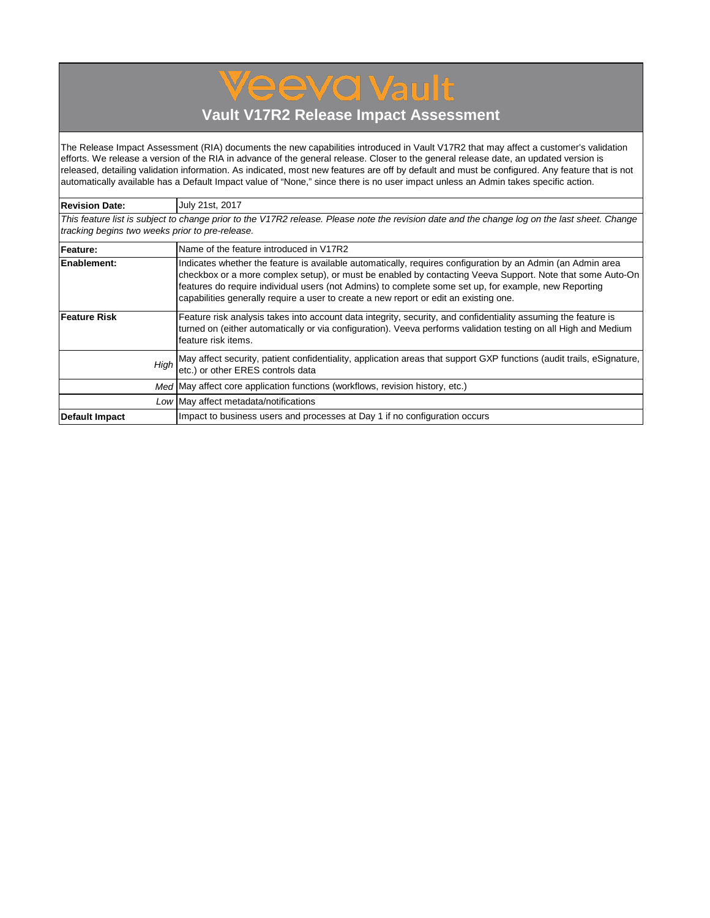## **Vault V17R2 Release Impact Assessment**

**Jeeva Vault** 

The Release Impact Assessment (RIA) documents the new capabilities introduced in Vault V17R2 that may affect a customer's validation efforts. We release a version of the RIA in advance of the general release. Closer to the general release date, an updated version is released, detailing validation information. As indicated, most new features are off by default and must be configured. Any feature that is not automatically available has a Default Impact value of "None," since there is no user impact unless an Admin takes specific action.

| <b>Revision Date:</b>                                                                        | July 21st, 2017                                                                                                                                                                                                                                                                                                                                                                                                            |  |  |  |  |  |  |  |  |
|----------------------------------------------------------------------------------------------|----------------------------------------------------------------------------------------------------------------------------------------------------------------------------------------------------------------------------------------------------------------------------------------------------------------------------------------------------------------------------------------------------------------------------|--|--|--|--|--|--|--|--|
|                                                                                              | This feature list is subject to change prior to the V17R2 release. Please note the revision date and the change log on the last sheet. Change                                                                                                                                                                                                                                                                              |  |  |  |  |  |  |  |  |
| tracking begins two weeks prior to pre-release.                                              |                                                                                                                                                                                                                                                                                                                                                                                                                            |  |  |  |  |  |  |  |  |
| Feature:                                                                                     | Name of the feature introduced in V17R2                                                                                                                                                                                                                                                                                                                                                                                    |  |  |  |  |  |  |  |  |
| <b>Enablement:</b>                                                                           | Indicates whether the feature is available automatically, requires configuration by an Admin (an Admin area<br>checkbox or a more complex setup), or must be enabled by contacting Veeva Support. Note that some Auto-On<br>features do require individual users (not Admins) to complete some set up, for example, new Reporting<br>capabilities generally require a user to create a new report or edit an existing one. |  |  |  |  |  |  |  |  |
| <b>Feature Risk</b>                                                                          | Feature risk analysis takes into account data integrity, security, and confidentiality assuming the feature is<br>turned on (either automatically or via configuration). Veeva performs validation testing on all High and Medium<br>feature risk items.                                                                                                                                                                   |  |  |  |  |  |  |  |  |
| High                                                                                         | May affect security, patient confidentiality, application areas that support GXP functions (audit trails, eSignature,<br>etc.) or other ERES controls data                                                                                                                                                                                                                                                                 |  |  |  |  |  |  |  |  |
| Med May affect core application functions (workflows, revision history, etc.)                |                                                                                                                                                                                                                                                                                                                                                                                                                            |  |  |  |  |  |  |  |  |
| Low May affect metadata/notifications                                                        |                                                                                                                                                                                                                                                                                                                                                                                                                            |  |  |  |  |  |  |  |  |
| Impact to business users and processes at Day 1 if no configuration occurs<br>Default Impact |                                                                                                                                                                                                                                                                                                                                                                                                                            |  |  |  |  |  |  |  |  |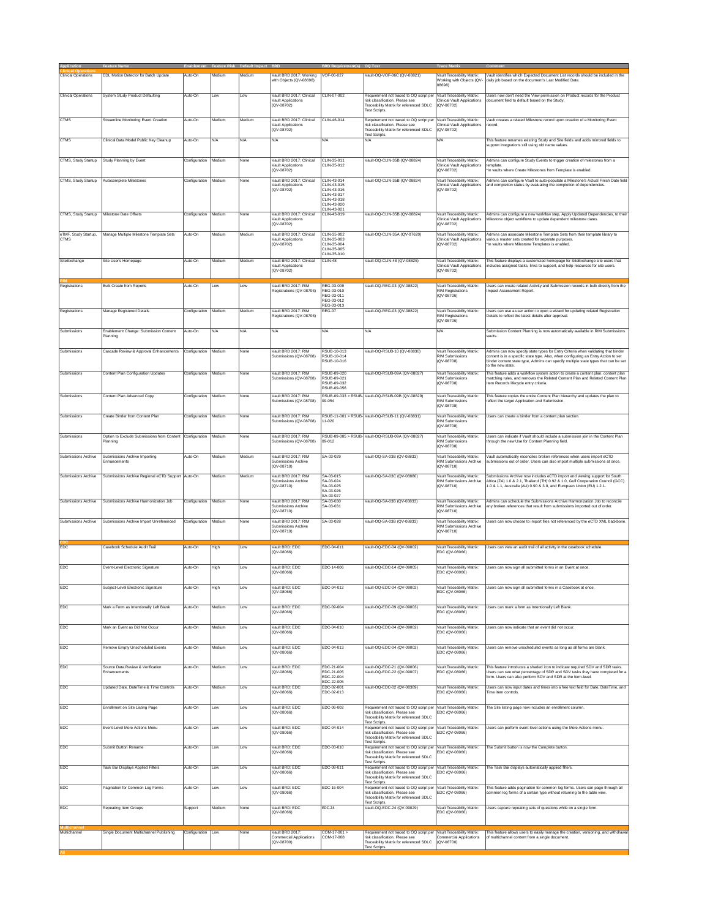| <b>Clinical Operations</b>          | EDL Motion Detector for Batch Update                   | Auto-On       | Medium | Medium | Vault BRD 2017: Working<br>with Objects (QV-08698)                             | VOF-06-027                                                                              | Vault-OQ-VOF-06C (QV-08821)                                                                                                                  | Vault Traceability Matrix:<br>Working with Objects (QV-                                          | Vault identifies which Expected Document List records should be included in the<br>daily job based on the document's Last Modified Date.                                                                                              |
|-------------------------------------|--------------------------------------------------------|---------------|--------|--------|--------------------------------------------------------------------------------|-----------------------------------------------------------------------------------------|----------------------------------------------------------------------------------------------------------------------------------------------|--------------------------------------------------------------------------------------------------|---------------------------------------------------------------------------------------------------------------------------------------------------------------------------------------------------------------------------------------|
| <b>Clinical Operations</b>          | System Study Product Defaulting                        | Auto-On       | Low    | Low    | Vault BRD 2017: Clinical<br>Vault Applications<br>(QV-08702)                   | CLIN-07-002                                                                             | Requirement not traced to OQ script per<br>risk classification. Please see<br>Traceability Matrix for referenced SDLC                        | 08698)<br>Vault Traceability Matrix:<br>Clinical Vault Applications<br>(QV-08702)                | Users now don't need the View permission on Product records for the Product<br>locument field to default based on the Study                                                                                                           |
| <b>CTMS</b>                         | Streamline Monitoring Event Creation                   | Auto-On       | Medium | Medium | Vault BRD 2017: Clinical<br>Vault Applications<br>(QV-08702)                   | CLIN-46-014                                                                             | <b>Test Scripts</b><br>Requirement not traced to OQ script per<br>risk classification. Please see<br>Traceability Matrix for referenced SDLC | Vault Traceability Matrix:<br><b>Clinical Vault Applications</b><br>(QV-08702)                   | Vault creates a related Milestone record upon creation of a Monitoring Event<br>ecord                                                                                                                                                 |
| <b>CTMS</b>                         | Clinical Data Model Public Key Cleanup                 | Auto-On       | N/A    | N/A    | N/A                                                                            | N/A                                                                                     | <b>Test Scripts</b><br>N/A                                                                                                                   | N/A                                                                                              | This feature renames existing Study and Site fields and adds mirrored fields to<br>support integrations still using old name values                                                                                                   |
| CTMS, Study Startup                 | Study Planning by Event                                | Configuration | Medium | None   | Vault BRD 2017: Clinical                                                       | CLIN-35-011                                                                             | Vault-OQ-CLIN-35B (QV-08824)                                                                                                                 | Vault Traceability Matrix:                                                                       | Admins can configure Study Events to trigger creation of milestones from a                                                                                                                                                            |
|                                     |                                                        |               |        |        | Vault Applications<br>(QV-08702)                                               | CLIN-35-012                                                                             |                                                                                                                                              | Clinical Vault Applications<br>(QV-08702)                                                        | lemplate.<br>In vaults where Create Milestones from Template is enabled.                                                                                                                                                              |
| CTMS, Study Startup                 | Autocomplete Milestones                                | Configuration | Medium | None   | Vault BRD 2017: Clinical<br>Vault Applications<br>$(QV - 08702)$               | CLIN-43-014<br>CLIN-43-015<br>CLIN-43-016<br>CLIN-43-017<br>CI IN-43-018<br>CLIN-43-020 | Vault-OQ-CLIN-35B (QV-08824)                                                                                                                 | Vault Traceability Matrix:<br><b>Clinical Vault Applications</b><br>$(QV - 08702)$               | Admins can configure Vault to auto-populate a Milestone's Actual Finish Date field<br>and completion status by evaluating the completion of dependencies.                                                                             |
| CTMS, Study Startup                 | Milestone Date Offsets                                 | Configuration | Medium | None   | Vault BRD 2017: Clinical<br>Vault Applications                                 | CLIN-43-021<br>CLIN-43-019                                                              | Vault-OQ-CLIN-35B (QV-08824)                                                                                                                 | Vault Traceability Matrix:<br><b>Clinical Vault Applications</b>                                 | Admins can configure a new workflow step, Apply Updated Dependencies, to their<br>filestone object workflows to update dependent milestone dates                                                                                      |
| eTMF, Study Startup,<br><b>CTMS</b> | Manage Multiple Milestone Template Sets                | Auto-On       | Medium | Medium | (QV-08702)<br>Vault BRD 2017: Clinical<br>Vault Applications<br>$(QV - 08702)$ | CLIN-35-002<br>CLIN-35-003<br>CLIN-35-004<br>CLIN-35-005<br>CLIN-35-010                 | Vault-OQ-CLIN-35A (QV-07620)                                                                                                                 | (QV-08702)<br>Vault Traceability Matrix:<br><b>Clinical Vault Applications</b><br>$(QV - 08702)$ | Admins can associate Milestone Template Sets from their template library to<br>various master sets created for separate purposes.<br>In vaults where Milestone Templates is enabled.                                                  |
| SiteExchange                        | Site User's Homepage                                   | Auto-On       | Medium | Medium | Vault BRD 2017: Clinical<br>Vault Applications<br>(QV-08702)                   | CLIN-48                                                                                 | Vault-OQ-CLIN-48 (QV-08825)                                                                                                                  | Vault Traceability Matrix:<br>Clinical Vault Applications<br>(QV-08702)                          | This feature displays a customized homepage for SiteExchange site users that<br>ncludes assigned tasks, links to support, and help resources for site users.                                                                          |
| Registrations                       | <b>Bulk Create from Reports</b>                        | Auto-On       | Low    | .ow    | Vault BRD 2017: RIM                                                            | REG-03-009                                                                              | Vault-OQ-REG-03 (QV-08822)                                                                                                                   | Vault Traceability Matrix:                                                                       | Users can create related Activity and Submission records in bulk directly from the                                                                                                                                                    |
|                                     |                                                        |               |        |        | Registrations (QV-08706)                                                       | REG-03-010<br>REG-03-011<br>REG-03-012<br>REG-03-013                                    |                                                                                                                                              | <b>RIM Registrations</b><br>$(QV - 08706)$                                                       | mpact Assessment Report.                                                                                                                                                                                                              |
| Registrations                       | Manage Registered Details                              | Configuration | Medium | Medium | Vault BRD 2017: RIM<br>Registrations (QV-08706)                                | <b>REG-07</b>                                                                           | Vault-OQ-REG-03 (QV-08822)                                                                                                                   | Vault Traceability Matrix:<br><b>RIM Registrations</b><br>(QV-08706)                             | Users can use a user action to open a wizard for updating related Registration<br>Details to reflect the latest details after approval                                                                                                |
| Submissions                         | Enablement Change: Submission Content<br>Planning      | Auto-On       | N/A    | N/A    | N/A                                                                            | N/A                                                                                     | N/A                                                                                                                                          | N/A                                                                                              | Submission Content Planning is now automatically available in RIM Submissions<br>vaults.                                                                                                                                              |
| Submissions                         | Cascade Review & Approval Enhancements                 | Configuration | Medium | None   | Vault BRD 2017: RIM<br>Submissions (QV-08708)                                  | RSUB-10-013<br>RSUB-10-014                                                              | Vault-OQ-RSUB-10 (QV-08830)                                                                                                                  | Vault Traceability Matrix:<br><b>RIM Submissions</b>                                             | Admins can now specify state types for Entry Criteria when validating that binder<br>content is in a specific state type. Also, when configuring an Entry Action to set                                                               |
|                                     |                                                        |               |        |        | Vault BRD 2017: RIM                                                            | RSUB-10-016                                                                             |                                                                                                                                              | (QV-08708)                                                                                       | binder content state type, Admins can specify multiple state types that can be set<br>to the new state.                                                                                                                               |
| Submissions                         | Content Plan Configuration Updates                     | Configuration | Medium | None   | Submissions (QV-08708)                                                         | RSUB-09-020<br><b>PSLIR,09,021</b><br>RSUB-09-032<br>RSUB-09-056                        | Vault-OQ-RSUB-09A (QV-08827)                                                                                                                 | Vault Traceability Matrix:<br><b>RIM Submissions</b><br>(QV-08708)                               | This feature adds a workflow system action to create a content plan, content plan<br>natching rules, and removes the Related Content Plan and Related Content Plan<br>Item Records lifecycle entry criteria.                          |
| Submissions                         | Content Plan Advanced Copy                             | Configuration | Medium | None   | Vault BRD 2017: RIM<br>Submissions (QV-08708)                                  | 09-054                                                                                  | RSUB-09-033 > RSUB- Vault-OQ-RSUB-09B (QV-08829)                                                                                             | Vault Traceability Matrix:<br><b>RIM Submissions</b><br>(QV-08708)                               | This feature copies the entire Content Plan hierarchy and updates the plan to<br>eflect the target Application and Submission.                                                                                                        |
| Submissions                         | Create Binder from Content Plan                        | Configuration | Medium | None   | Vault BRD 2017: RIM<br>Submissions (QV-08708)                                  | $1 - 020$                                                                               | RSUB-11-001 > RSUB- Vault-OQ-RSUB-11 (QV-08831)                                                                                              | Vault Traceability Matrix:<br><b>RIM Submissions</b><br>$(QV - 08708)$                           | Users can create a binder from a content plan section.                                                                                                                                                                                |
| Submissions                         | Option to Exclude Submissions from Content<br>Planning | Configuration | Medium | None   | Vault BRD 2017: RIM<br>Submissions (QV-08708)                                  | RSUB-09-005 > RSUB-<br>09-012                                                           | Vault-OQ-RSUB-09A (QV-08827)                                                                                                                 | Vault Traceability Matrix:<br><b>RIM Submissions</b><br>(QV-08708)                               | Users can indicate if Vault should include a submission join in the Content Plan<br>hrough the new Use for Content Planning field.                                                                                                    |
| Submissions Archive                 | Submissions Archive Importing<br>Enhancements          | Auto-On       | Medium | Medium | Vault BRD 2017: RIM<br>Submissions Archive                                     | SA-03-029                                                                               | Vault-OQ-SA-03B (QV-08833)                                                                                                                   | Vault Traceability Matrix:<br>RIM Submissions Archive                                            | Vault automatically reconciles broken references when users import eCTD<br>submissions out of order. Users can also import multiple submissions at once.                                                                              |
| Submissions Archive                 | Submissions Archive Regional eCTD Support Auto-On      |               | Medium | Medium | QV-08710)<br>Vault BRD 2017: RIM<br>Submissions Archive<br>(QV-08710)          | SA-03-015<br>SA-03-024<br>SA-03-025                                                     | Vault-OQ-SA-03C (QV-08880)                                                                                                                   | $(QV - 08710)$<br>Vault Traceability Matrix:<br>RIM Submissions Archive<br>(QV-08710)            | Submissions Archive now includes eCTD import and viewing support for South<br>Africa (ZA) 1.0 & 2.1, Thailand (TH) 0.92 & 1.0, Gulf Cooperation Council (GCC)<br>1.0 & 1.1, Australia (AU) 0.90 & 3.0, and European Union (EU) 1.2.1. |
| Submissions Archive                 | Submissions Archive Harmonization Job                  | Configuration | Medium | None   | Vault BRD 2017: RIM                                                            | SA-03-026<br>SA-03-027<br>SA-03-030                                                     | Vault-OQ-SA-03B (QV-08833)                                                                                                                   | Vault Traceability Matrix:                                                                       | Admins can schedule the Submissions Archive Harmonization Job to reconcile                                                                                                                                                            |
|                                     |                                                        |               |        |        | Submissions Archive<br>QV-08710)                                               | SA-03-031                                                                               |                                                                                                                                              | RIM Submissions Archive<br>(QV-08710)                                                            | any broken references that result from submissions imported out of order.                                                                                                                                                             |
| Submissions Archive                 | Submissions Archive Import Unreferenced                | Configuration | Medium | None   | Vault BRD 2017: RIM<br>Submissions Archive<br>(QV-08710)                       | SA-03-028                                                                               | Vault-OQ-SA-03B (QV-08833)                                                                                                                   | Vault Traceability Matrix:<br><b>RIM Submissions Archive</b><br>(QV-08710)                       | Users can now choose to import files not referenced by the eCTD XML backbone.                                                                                                                                                         |
| EDC                                 | Casebook Schedule Audit Trail                          | Auto-On       | High   | Low    | Vault BRD: EDC<br>(QV-08066)                                                   | EDC-04-011                                                                              | Vault-OQ-EDC-04 (QV-09002)                                                                                                                   | Vault Traceability Matrix:<br>EDC (QV-08066)                                                     | Users can view an audit trail of all activity in the casebook schedule.                                                                                                                                                               |
| EDC                                 | Event-Level Electronic Signature                       | Auto-On       | High   | Low    | Vault BRD: EDC<br>(QV-08066)                                                   | FDC-14-006                                                                              | Vault-OQ-EDC-14 (QV-09005)                                                                                                                   | Vault Traceability Matrix:<br>EDC (QV-08066)                                                     | Users can now sign all submitted forms in an Event at once.                                                                                                                                                                           |
| EDC                                 | Subject-Level Electronic Signature                     | Auto-On       | High   | Low    | Vault BRD: EDC<br>(QV-08066)                                                   | EDC-04-012                                                                              | Vault-OQ-EDC-04 (QV-09002)                                                                                                                   | Vault Traceability Matrix:<br>EDC (QV-08066)                                                     | Users can now sign all submitted forms in a Casebook at once.                                                                                                                                                                         |
| EDC                                 | Mark a Form as Intentionally Left Blank                | Auto-On       | Medium | Low    | Vault BRD: EDC<br>QV-08066)                                                    | EDC-09-004                                                                              | Vault-OQ-EDC-09 (QV-09003)                                                                                                                   | Vault Traceability Matrix:<br>EDC (QV-08066)                                                     | Users can mark a form as Intentionally Left Blank.                                                                                                                                                                                    |
| EDC                                 | Mark an Event as Did Not Occur                         | Auto-On       | Medium | Low    | Vault BRD: EDC<br>(QV-08066)                                                   | EDC-04-010                                                                              | Vault-OQ-EDC-04 (QV-09002)                                                                                                                   | Vault Traceability Matrix:<br>EDC (QV-08066)                                                     | Users can now indicate that an event did not occur.                                                                                                                                                                                   |
| EDC                                 | Remove Empty Unscheduled Events                        | Auto-On       | Medium | Low    | Vault BRD: EDC<br>(QV-08066)                                                   | EDC-04-013                                                                              | Vault-OQ-EDC-04 (QV-09002)                                                                                                                   | Vault Traceability Matrix:<br>EDC (QV-08066)                                                     | Users can remove unscheduled events as long as all forms are blank.                                                                                                                                                                   |
| EDC                                 | Source Data Review & Verification<br>Enhancements      | Auto-On       | Medium | Low    | Vault BRD: EDC<br>(QV-08066)                                                   | EDC-21-004<br>EDC-21-005                                                                | Vault-OQ-EDC-21 (QV-09006)<br>Vault-OQ-EDC-22 (QV-09007)                                                                                     | Vault Traceability Matrix:<br>EDC (QV-08066)                                                     | This feature introduces a shaded icon to indicate required SDV and SDR tasks.<br>Users can see what percentage of SDR and SDV tasks they have completed for a                                                                         |
| EDC                                 | Updated Date, DateTime & Time Controls                 | Auto-On       | Medium | Low    | Vault BRD: EDC                                                                 | EDC-22-004<br>EDC-22-005<br>EDC-02-001                                                  | Vault-OQ-EDC-02 (QV-08389)                                                                                                                   | Vault Traceability Matrix:                                                                       | form. Users can also perform SDV and SDR at the form-level.<br>Users can now input dates and times into a free text field for Date. DateTime, and                                                                                     |
|                                     | Enrollment on Site Listing Page                        |               |        |        | $(QV - 08066)$<br>Vault BRD: EDC                                               | EDC-02-013                                                                              |                                                                                                                                              | EDC (QV-08066)<br>Vault Traceability Matrix:                                                     | Time item controls.                                                                                                                                                                                                                   |
| EDC                                 |                                                        | Auto-On       | Low    | Low    | (QV-08066)                                                                     | EDC-06-002                                                                              | Requirement not traced to OQ script per<br>risk classification. Please see<br>Traceability Matrix for referenced SDLC<br>Test Scripts.       | EDC (QV-08066)                                                                                   | The Site listing page now includes an enrollment column.                                                                                                                                                                              |
| EDC                                 | Event-Level More Actions Menu                          | Auto-On       | Low    | Low    | Vault BRD: EDC<br>(QV-08066)                                                   | EDC-04-014                                                                              | Requirement not traced to OQ script per<br>risk classification. Please see<br>Fraceability Matrix for referenced SDLC<br>Fest Scripts.       | Vault Traceability Matrix:<br>EDC (QV-08066)                                                     | Users can perform event-level actions using the More Actions menu.                                                                                                                                                                    |
| EDC                                 | Submit Button Rename                                   | Auto-On       | Low    | Low    | Vault BRD: EDC<br>(QV-08066)                                                   | EDC-03-010                                                                              | Requirement not traced to OQ script per<br>risk classification. Please see<br>Traceability Matrix for referenced SDLC                        | Vault Traceability Matrix:<br>EDC (QV-08066)                                                     | The Submit button is now the Complete button.                                                                                                                                                                                         |
| EDC                                 | Task Bar Displays Applied Filters                      | Auto-On       | Low    | Low    | Vault BRD: EDC<br>QV-08066)                                                    | EDC-08-011                                                                              | Test Scripts.<br>Requirement not traced to OQ script per<br>risk classification. Please see<br>Traceability Matrix for referenced SDLC       | Vault Traceability Matrix:<br>EDC (QV-08066)                                                     | The Task Bar displays automatically applied filters.                                                                                                                                                                                  |
| EDC                                 | Pagination for Common Log Forms                        | Auto-On       | Low    | Low    | Vault BRD: EDC<br>(QV-08066)                                                   | EDC-16-004                                                                              | Fest Scripts.<br>Requirement not traced to OQ script per<br>risk classification. Please see                                                  | Vault Traceability Matrix:<br>EDC (QV-08066)                                                     | This feature adds pagination for common log forms. Users can page through all<br>ommon log forms of a certain type without returning to the table view.                                                                               |
| EDC                                 | Repeating Item Groups                                  | Support       | Medium | None   | Vault BRD: EDC<br>(QV-08066)                                                   | EDC-24                                                                                  | Traceability Matrix for referenced SDLC<br><b>Fest Scripts</b><br>Vault-OQ-EDC-24 (QV-09029)                                                 | Vault Traceability Matrix:<br>EDC (QV-08066)                                                     | Users capture repeating sets of questions while on a single form.                                                                                                                                                                     |
|                                     |                                                        |               |        |        |                                                                                |                                                                                         |                                                                                                                                              |                                                                                                  |                                                                                                                                                                                                                                       |
| Multichannel                        | Single Document Multichannel Publishing                | Configuration | Low    | None   | Vault BRD 2017:<br>Commercial Applications<br>(QV-08700)                       | COM-17-001 ><br>COM-17-008                                                              | Requirement not traced to OQ script per<br>risk classification. Please see<br>Traceability Matrix for referenced SDLC<br>Fest Scripts.       | Vault Traceability Matrix:<br>Commercial Applications<br>$(QV - 08700)$                          | This feature allows users to easily manage the creation, versioning, and withdrawa<br>of multichannel content from a single document.                                                                                                 |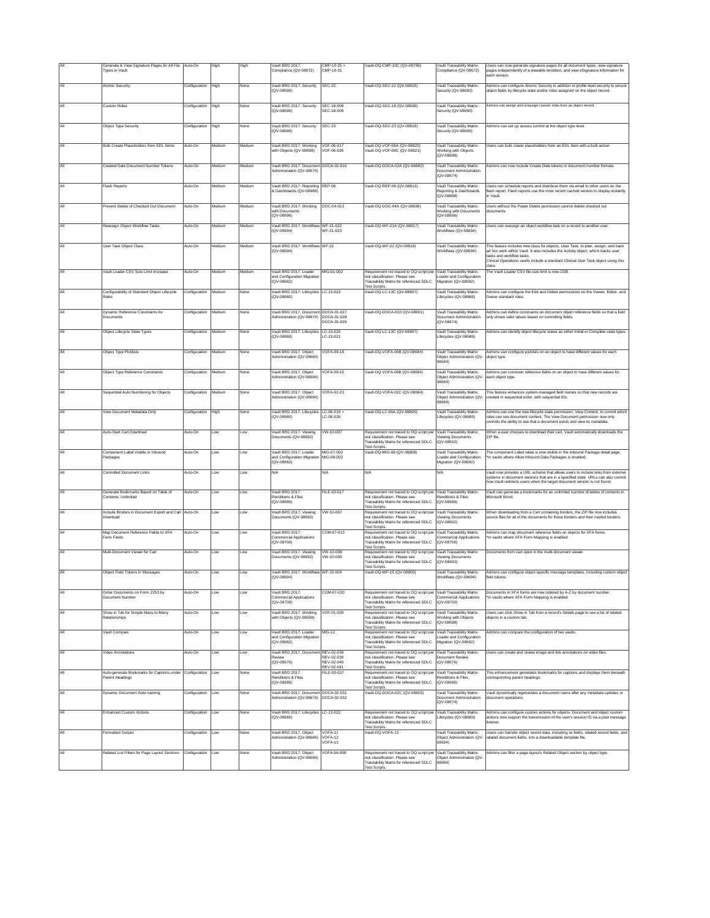|     | Generate & View Signature Pages for All File<br>Types in Vault              | Auto-On       | High   | High   | Vault BRD 2017<br>Compliance (QV-08672)                                 | $CMP-10-25$<br>CMP-10-31  | Vault-OQ-CMP-10C (QV-08799)                                                                                                                                      | Vault Traceability Matrix<br>Compliance (QV-08672)                             | Users can now generate signature pages for all document types, view signature<br>pages independently of a viewable rendition, and view eSignature information for<br>each version.                                                                                                         |
|-----|-----------------------------------------------------------------------------|---------------|--------|--------|-------------------------------------------------------------------------|---------------------------|------------------------------------------------------------------------------------------------------------------------------------------------------------------|--------------------------------------------------------------------------------|--------------------------------------------------------------------------------------------------------------------------------------------------------------------------------------------------------------------------------------------------------------------------------------------|
| All | Atomic Security                                                             | Configuration | High   | None   | Vault BRD 2017: Security<br>(QV-08690)                                  | SEC-22                    | Vault-OQ-SEC-22 (QV-08815)                                                                                                                                       | Vault Traceability Matrix:<br>Security (QV-08690)                              | Admins can configure Atomic Security in addition to profile level security to secure<br>object fields by lifecycle state and/or roles assigned on the object record.                                                                                                                       |
| All | <b>Custom Roles</b>                                                         | Configuration | High   | None   | Vault BRD 2017: Security<br>(QV-08690)                                  | SEC-18-008<br>SEC-18-009  | Vault-OQ-SEC-18 (QV-08690)                                                                                                                                       | Vault Traceability Matrix:<br>Security (QV-08690)                              | Admins can assign and unassign custom roles from an object record.                                                                                                                                                                                                                         |
| All | Object Type Security                                                        | Configuration | High   | None   | Vault BRD 2017: Security<br>(QV-08690)                                  | SEC-23                    | Vault-OQ-SEC-23 (QV-08816)                                                                                                                                       | Vault Traceability Matrix:<br>Security (QV-08690)                              | Admins can set up access control at the object type level.                                                                                                                                                                                                                                 |
| Αll | <b>Bulk Create Placeholders from EDI Items</b>                              | Auto-On       | Medium | Medium | Vault BRD 2017: Working<br>with Objects (QV-08698)                      | VOF-06-017<br>VOF-06-026  | Vault-OQ-VOF-06A (QV-08820)<br>Vault-OQ-VOF-06C (QV-08821)                                                                                                       | Vault Traceability Matrix:<br>Working with Objects<br>(QV-08698)               | Users can bulk create placeholders from an EDL Item with a bulk action.                                                                                                                                                                                                                    |
| All | Created Date Document Number Tokens                                         | Auto-On       | Medium | Medium | Vault BRD 2017: Document DOCA-02-016<br>Administration (QV-08674)       |                           | Vault-OQ-DOCA-02A (QV-08802)                                                                                                                                     | Vault Traceability Matrix:<br>Document Administration<br>(QV-08674)            | Admins can now include Create Date tokens in document number formats                                                                                                                                                                                                                       |
| All | Flash Reports                                                               | Auto-On       | Medium | Medium | Vault BRD 2017: Reporting REP-08<br>& Dashboards (QV-08688)             |                           | Vault-OQ-REP-08 (QV-08813)                                                                                                                                       | Vault Traceability Matrix:<br>Reporting & Dashboards<br>(QV-08688)             | Users can schedule reports and distribute them via email to other users on the<br>flash report. Flash reports use the most recent cached version to display instantly<br>in Vault                                                                                                          |
| All | Prevent Delete of Checked Out Document                                      | Auto-On       | Medium | Medium | Vault BRD 2017: Working<br>with Documents<br>(QV-08696)                 | DOC-04-013                | /ault-OQ-DOC-04A (QV-08696)                                                                                                                                      | Vault Traceability Matrix:<br>Working with Documents<br>(QV-08696)             | Users without the Power Delete permission cannot delete checked out<br>documents.                                                                                                                                                                                                          |
| All | Reassign Object Workflow Tasks                                              | Auto-On       | Medium | Medium | Vault BRD 2017: Workflows WF-21-022<br>(QV-08694)                       | WF-21-023                 | Vault-OQ-WF-21A (QV-08817)                                                                                                                                       | Vault Traceability Matrix:<br>Workflows (QV-08694)                             | Users can reassign an object workflow task on a record to another user.                                                                                                                                                                                                                    |
| All | User Task Object Class                                                      | Auto-On       | Medium | Medium | Vault BRD 2017: Workflows WF-22<br>(QV-08694)                           |                           | Vault-OQ-WF-22 (QV-08818)                                                                                                                                        | Vault Traceability Matrix<br>Workflows (QV-08694)                              | This feature includes new class for objects, User Task, to plan, assign, and track<br>ad hoc work within Vault. It also includes the Activity object, which tracks user<br>tasks and workflow tasks.<br>Clinical Operations vaults include a standard Clinical User Task object using this |
| All | Vault Loader CSV Size Limit Increase                                        | Auto-On       | Medium | Medium | Vault BRD 2017: Loader<br>and Configuration Migration                   | MIG-01-002                | Requirement not traced to OQ script per<br>risk classification. Please see                                                                                       | Vault Traceability Matrix:<br>Loader and Configuration                         | class.<br>The Vault Loader CSV file size limit is now 1GB.                                                                                                                                                                                                                                 |
|     | Configurability of Standard Object Lifecycle<br>Roles                       | Configuration | Medium | Vone   | (QV-08682)<br>Vault BRD 2017: Lifecycles LC-13-023<br>$(0V-08680)$      |                           | Traceability Matrix for referenced SDLC<br><b>Fest Scripts</b><br>Vault-OQ-LC-13C (QV-08807)                                                                     | Migration (QV-08682)<br>Vault Traceability Matrix:<br>Lifecycles (QV-08680)    | Admins can configure the Edit and Delete permissions on the Viewer, Editor, and<br>Owner standard roles.                                                                                                                                                                                   |
| AII | Dynamic Reference Constraints for<br>Documents                              | Configuration | Medium | None   | Vault BRD 2017: Document DOCA-01-027<br>Administration (QV-08674)       | DOCA-01-028               | Vault-OQ-DOCA-01D (QV-08801)                                                                                                                                     | Vault Traceability Matrix:<br>Document Administration                          | Admins can define constraints on document object reference fields so that a field<br>only shows valid values based on controlling fields.                                                                                                                                                  |
| All | Object Lifecycle State Types                                                | Configuration | Medium | None   | Vault BRD 2017: Lifecycles LC-13-020                                    | DOCA-01-029               | Vault-OQ-LC-13C (QV-08807)                                                                                                                                       | (QV-08674)<br>Vault Traceability Matrix:                                       | Admins can identify object lifecycle states as either Initial or Complete state types.                                                                                                                                                                                                     |
| All |                                                                             | Configuration | Medium | None   | $(QV - 08680)$<br>Vault BRD 2017: Object                                | LC-13-021<br>VOFA-09-16   | /ault-OQ-VOFA-09B (QV-08684)                                                                                                                                     | Lifecycles (QV-08680)<br>Vault Traceability Matrix:                            | Admins can configure picklists on an object to have different values for each                                                                                                                                                                                                              |
|     | Object Type Picklists                                                       |               |        |        | Administration (QV-08684)                                               |                           |                                                                                                                                                                  | Object Administration (QV-<br>08684)                                           | object type.                                                                                                                                                                                                                                                                               |
| All | Object Type Reference Constraints                                           | Configuration | Medium | None   | Vault BRD 2017: Ohiect<br>Administration (QV-08684)                     | VOFA-09-15                | Vault-OO-VOEA-09B (OV-08684)                                                                                                                                     | Vault Traceability Matrix:<br>Object Administration (QV-<br>08684)             | Admins can constrain reference fields on an object to have different values for<br>each object type.                                                                                                                                                                                       |
| All | Sequential Auto Numbering for Objects                                       | Configuration | Medium | None   | Vault BRD 2017: Object<br>Administration (OV-08684)                     | VOFA-02-23                | /ault-OQ-VOFA-02C (QV-08684)                                                                                                                                     | Vault Traceability Matrix:<br>Object Administration (QV-<br>08684)             | This feature enhances system-managed field names so that new records are<br>created in sequential order, with sequential IDs.                                                                                                                                                              |
| All | View Document Metadata Only                                                 | Configuration | High   | None   | Vault BRD 2017: Lifecycles LC-06-019 ><br>$(QV - 08680)$                | LC-06-026                 | Vault-OQ-LC-06A (QV-08805)                                                                                                                                       | Vault Traceability Matrix:<br>Lifecycles (QV-08680)                            | Admins can use the new lifecycle state permission. View Content, to control which<br>roles can see document content. The View Document permission now only<br>controls the ability to see that a document exists and view its metadata.                                                    |
| All | Auto-Start Cart Download                                                    | Auto-On       | Low    | Low    | Vault BRD 2017: Viewing<br>Documents (QV-08692)                         | VW-10-007                 | Requirement not traced to OQ script per<br>risk classification. Please see<br>Traceability Matrix for referenced SDLC<br><b>Fest Scripts</b>                     | Vault Traceability Matrix:<br>Viewing Documents<br>$(QV - 08692)$              | When a user chooses to download their cart, Vault automatically downloads the<br>7IP file                                                                                                                                                                                                  |
| All | Component Label Visible in Inbound<br>Packages                              | Auto-On       | Low    | Low    | Vault BRD 2017: Loader<br>and Configuration Migration<br>$(QV - 08682)$ | MIG-07-002<br>MIG-08-002  | Vault-OQ-MIG-08 (QV-08808)                                                                                                                                       | Vault Traceability Matrix:<br>Loader and Configuration<br>Migration (QV-08682) | The component Label value is now visible in the inbound Package detail page.<br>'In vaults where Allow Inbound Data Packages is enabled.                                                                                                                                                   |
| All | <b>Controlled Document Links</b>                                            | Auto-On       | Low    | Low    | N/A                                                                     | N/A                       | N/A                                                                                                                                                              | N/A                                                                            | Vault now provides a URL scheme that allows users to include links from external<br>systems in document versions that are in a specified state. URLs can also control<br>how Vault redirects users when the target document version is not found.                                          |
| All | Generate Bookmarks Based on Table of<br>Contents: Unlimited                 | Auto-On       | Low    | Low    | Vault BRD 2017:<br>Renditions & Files<br>(QV-08686)                     | FILE-03-017               | Requirement not traced to OQ script per Vault Traceability Matrix:<br>risk classification. Please see<br>Traceability Matrix for referenced SDLC<br>est Scripts. | Renditions & Files<br>$(QV - 08686)$                                           | Vault can generate a bookmarks for an unlimited number of tables of contents in<br>Microsoft Word.                                                                                                                                                                                         |
| All | Include Binders in Document Export and Cart Auto-On<br>Download             |               | Low    | Low    | Vault BRD 2017: Viewing<br>Documents (QV-08692)                         | VW-10-007                 | Requirement not traced to OQ script per<br>risk classification. Please see<br>Traceability Matrix for referenced SDLC<br><b>Fest Scripts.</b>                    | Vault Traceability Matrix:<br>/iewing Documents<br>$(QV - 08692)$              | When downloading from a Cart containing binders, the ZIP file now includes<br>source files for all of the documents for those binders and their nested binders.                                                                                                                            |
| All | Map Document Reference Fields to XFA<br>Form Fields                         | Auto-On       | Low    | Low    | Vault BRD 2017:<br><b>Commercial Applications</b><br>$(QV - 08700)$     | COM-07-013                | Requirement not traced to OQ script per<br>risk classification. Please see<br>Traceability Matrix for referenced SDLC<br>est Scripts.                            | Vault Traceability Matrix:<br>Commercial Applications<br>(QV-08700)            | Admins can map document reference fields on objects for XFA forms.<br>'In vaults where XFA Form Mapping is enabled.                                                                                                                                                                        |
| All | Multi-Document Viewer for Cart                                              | Auto-On       | Low    | Low    | Vault BRD 2017: Viewing<br>Documents (QV-08692)                         | VW-10-008<br>VW-10-009    | Requirement not traced to OQ script pe<br>isk classification. Please see<br><b>Traceability Matrix for referenced SDLC</b><br><b>Fest Scripts</b>                | Vault Traceability Matrix:<br>Viewing Documents<br>$(QV - 08692)$              | Documents from cart open in the multi-document viewer.                                                                                                                                                                                                                                     |
| All | Object Field Tokens in Messages                                             | Auto-On       | Low    | Low    | Vault BRD 2017: Workflows WF-15-004<br>(QV-08694)                       |                           | Vault-OQ-WF-15 (QV-08800)                                                                                                                                        | Vault Traceability Matrix:<br>Workflows (QV-08694)                             | Admins can configure object-specific message templates, including custom object<br>field tokens.                                                                                                                                                                                           |
| All | Order Documents on Form 2253 by<br>Occument Numbe                           | Auto-On       | Low    | .ow    | Vault BRD 2017:<br>Commercial Applications<br>(QV-08700)                | COM-07-020                | Requirement not traced to OQ script per Vault Traceability Matrix:<br>isk classification. Please see<br>Traceability Matrix for referenced SDLC<br>Fest Scripts. | <b>Commercial Applications</b><br>(QV-08700)                                   | Documents in XFA forms are now ordered by A-Z by document number.<br>In vaults where XFA Form Mapping is enabled.                                                                                                                                                                          |
| All | Show in Tab for Simple Many-to-Many<br>Relationships                        | Auto-On       | Low    | Low    | Vault BRD 2017: Working<br>with Objects (QV-08698)                      | VOF-01-029                | Requirement not traced to OQ script per<br>risk classification. Please see<br>Traceability Matrix for referenced SDLC<br><b>Fest Scripts</b>                     | Vault Traceability Matrix:<br>Working with Objects<br>$(QV - 08698)$           | Users can click Show in Tab from a record's Details page to see a list of related<br>objects in a custom tab.                                                                                                                                                                              |
| All | Vault Compare                                                               | Auto-On       | Low    | Low    | Vault BRD 2017: Loader<br>and Configuration Migration<br>$(QV - 08682)$ | MIG-12                    | Requirement not traced to OQ script per<br>risk classification. Please see<br>Fraceability Matrix for referenced SDLC<br><b>Test Scripts</b>                     | Vault Traceability Matrix:<br>Loader and Configuration<br>Migration (QV-08682) | Admins can compare the configuration of two vaults.                                                                                                                                                                                                                                        |
| All | Video Annotations                                                           | Auto-On       | Low    | Low    | Vault BRD 2017: Document REV-02-038<br>Review<br>(QV-08676)             | RFV-02-039<br>REV-02-040  | Requirement not traced to OQ script per Vault Traceability Matrix:<br>risk classification. Please see<br>Traceability Matrix for referenced SDLC                 | Document Review<br>(QV-08676)                                                  | Users can create and review image and link annotations on video files.                                                                                                                                                                                                                     |
| All | Auto-generate Bookmarks for Captions under Configuration<br>Parent Headings |               | Low    | None   | Vault BRD 2017:<br>Renditions & Files<br>(QV-08686)                     | REV-02-041<br>FILE-03-037 | Test Scripts.<br>Requirement not traced to OQ script per<br>risk classification. Please see<br>Traceability Matrix for referenced SDLC<br><b>Fest Scripts</b>    | Vault Traceability Matrix:<br>Renditions & Files<br>$(QV - 08686)$             | This enhancement generates bookmarks for captions and displays them beneath<br>corresponding parent headings.                                                                                                                                                                              |
| All | Dynamic Document Auto-naming                                                | Configuration | Low    | None   | Vault BRD 2017: Document DOCA-02-031<br>Administration (QV-08674)       | DOCA-02-032               | Vault-OQ-DOCA-02C (QV-08803)                                                                                                                                     | Vault Traceability Matrix:<br>Document Administration<br>(DV-08674)            | /ault dynamically regenerates a document name after any metadata updates or<br>focument operations                                                                                                                                                                                         |
| Αll | <b>Enhanced Custom Actions</b>                                              | Configuration | Low    | None   | Vault BRD 2017: Lifecycles LC-13-022<br>(QV-08680)                      |                           | Requirement not traced to OQ script pe<br>risk classification. Please see<br>raceability Matrix for referenced SDLC<br>Fest Scripts.                             | Vault Traceability Matrix:<br>ifecycles (QV-08680)                             | Admins can configure custom actions for objects. Document and object custom<br>actions now support the transmission of the user's session ID via a post message                                                                                                                            |
|     |                                                                             |               |        |        | Vault BRD 2017: Object                                                  | <b>VOFA-11</b>            | /ault-OQ-VOFA-13                                                                                                                                                 | Vault Traceability Matrix:                                                     | Users can transfer object record data, including its fields, related record fields, and                                                                                                                                                                                                    |
| All | Formatted Output                                                            | Configuration | Low    | None   | Administration (QV-08684)                                               | VOFA-12<br>VOFA-13        |                                                                                                                                                                  | Object Administration (QV-<br>08684)                                           | related document fields, into a downloadable template file.                                                                                                                                                                                                                                |